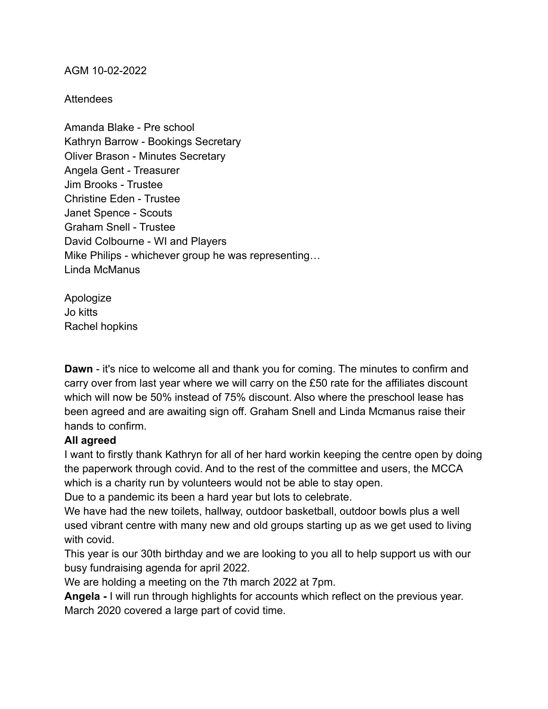AGM 10-02-2022

**Attendees** 

Amanda Blake - Pre school Kathryn Barrow - Bookings Secretary Oliver Brason - Minutes Secretary Angela Gent - Treasurer Jim Brooks - Trustee Christine Eden - Trustee Janet Spence - Scouts Graham Snell - Trustee David Colbourne - WI and Players Mike Philips - whichever group he was representing… Linda McManus

Apologize Jo kitts Rachel hopkins

**Dawn** - it's nice to welcome all and thank you for coming. The minutes to confirm and carry over from last year where we will carry on the £50 rate for the affiliates discount which will now be 50% instead of 75% discount. Also where the preschool lease has been agreed and are awaiting sign off. Graham Snell and Linda Mcmanus raise their hands to confirm.

## **All agreed**

I want to firstly thank Kathryn for all of her hard workin keeping the centre open by doing the paperwork through covid. And to the rest of the committee and users, the MCCA which is a charity run by volunteers would not be able to stay open.

Due to a pandemic its been a hard year but lots to celebrate.

We have had the new toilets, hallway, outdoor basketball, outdoor bowls plus a well used vibrant centre with many new and old groups starting up as we get used to living with covid.

This year is our 30th birthday and we are looking to you all to help support us with our busy fundraising agenda for april 2022.

We are holding a meeting on the 7th march 2022 at 7pm.

**Angela -** I will run through highlights for accounts which reflect on the previous year. March 2020 covered a large part of covid time.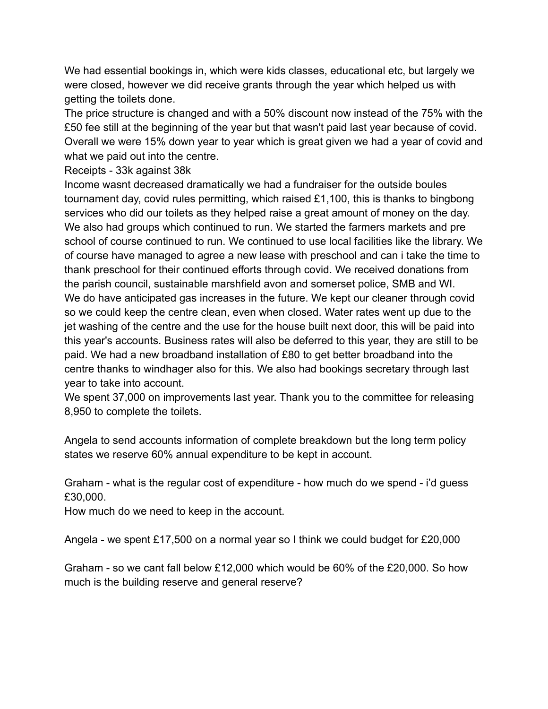We had essential bookings in, which were kids classes, educational etc, but largely we were closed, however we did receive grants through the year which helped us with getting the toilets done.

The price structure is changed and with a 50% discount now instead of the 75% with the £50 fee still at the beginning of the year but that wasn't paid last year because of covid. Overall we were 15% down year to year which is great given we had a year of covid and what we paid out into the centre.

Receipts - 33k against 38k

Income wasnt decreased dramatically we had a fundraiser for the outside boules tournament day, covid rules permitting, which raised £1,100, this is thanks to bingbong services who did our toilets as they helped raise a great amount of money on the day. We also had groups which continued to run. We started the farmers markets and pre school of course continued to run. We continued to use local facilities like the library. We of course have managed to agree a new lease with preschool and can i take the time to thank preschool for their continued efforts through covid. We received donations from the parish council, sustainable marshfield avon and somerset police, SMB and WI. We do have anticipated gas increases in the future. We kept our cleaner through covid so we could keep the centre clean, even when closed. Water rates went up due to the jet washing of the centre and the use for the house built next door, this will be paid into this year's accounts. Business rates will also be deferred to this year, they are still to be paid. We had a new broadband installation of £80 to get better broadband into the centre thanks to windhager also for this. We also had bookings secretary through last year to take into account.

We spent 37,000 on improvements last year. Thank you to the committee for releasing 8,950 to complete the toilets.

Angela to send accounts information of complete breakdown but the long term policy states we reserve 60% annual expenditure to be kept in account.

Graham - what is the regular cost of expenditure - how much do we spend - i'd guess £30,000.

How much do we need to keep in the account.

Angela - we spent £17,500 on a normal year so I think we could budget for £20,000

Graham - so we cant fall below £12,000 which would be 60% of the £20,000. So how much is the building reserve and general reserve?